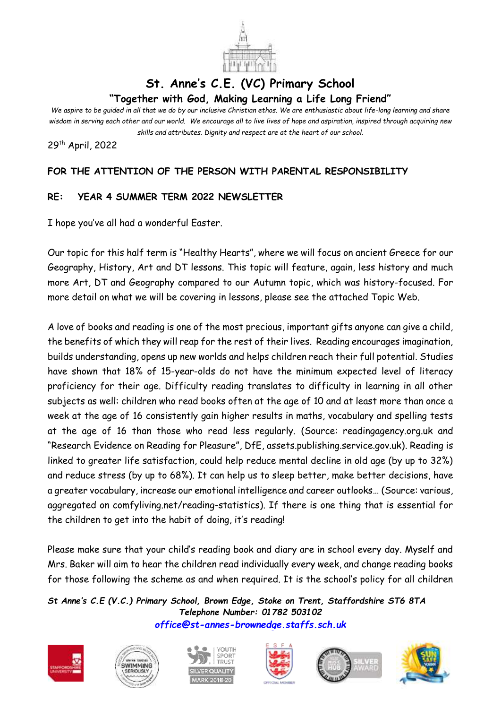

## **St. Anne's C.E. (VC) Primary School "Together with God, Making Learning a Life Long Friend"**

*We aspire to be guided in all that we do by our inclusive Christian ethos. We are enthusiastic about life-long learning and share wisdom in serving each other and our world. We encourage all to live lives of hope and aspiration, inspired through acquiring new skills and attributes. Dignity and respect are at the heart of our school.*

29th April, 2022

## **FOR THE ATTENTION OF THE PERSON WITH PARENTAL RESPONSIBILITY**

## **RE: YEAR 4 SUMMER TERM 2022 NEWSLETTER**

I hope you've all had a wonderful Easter.

Our topic for this half term is "Healthy Hearts", where we will focus on ancient Greece for our Geography, History, Art and DT lessons. This topic will feature, again, less history and much more Art, DT and Geography compared to our Autumn topic, which was history-focused. For more detail on what we will be covering in lessons, please see the attached Topic Web.

A love of books and reading is one of the most precious, important gifts anyone can give a child, the benefits of which they will reap for the rest of their lives. Reading encourages imagination, builds understanding, opens up new worlds and helps children reach their full potential. Studies have shown that 18% of 15-year-olds do not have the minimum expected level of literacy proficiency for their age. Difficulty reading translates to difficulty in learning in all other subjects as well: children who read books often at the age of 10 and at least more than once a week at the age of 16 consistently gain higher results in maths, vocabulary and spelling tests at the age of 16 than those who read less regularly. (Source: readingagency.org.uk and "Research Evidence on Reading for Pleasure", DfE, assets.publishing.service.gov.uk). Reading is linked to greater life satisfaction, could help reduce mental decline in old age (by up to 32%) and reduce stress (by up to 68%). It can help us to sleep better, make better decisions, have a greater vocabulary, increase our emotional intelligence and career outlooks… (Source: various, aggregated on comfyliving.net/reading-statistics). If there is one thing that is essential for the children to get into the habit of doing, it's reading!

Please make sure that your child's reading book and diary are in school every day. Myself and Mrs. Baker will aim to hear the children read individually every week, and change reading books for those following the scheme as and when required. It is the school's policy for all children

*St Anne's C.E (V.C.) Primary School, Brown Edge, Stoke on Trent, Staffordshire ST6 8TA Telephone Number: 01782 503102 [office@st-annes-brownedge.staffs.sch.uk](mailto:office@st-annes-brownedge.staffs.sch.uk)*











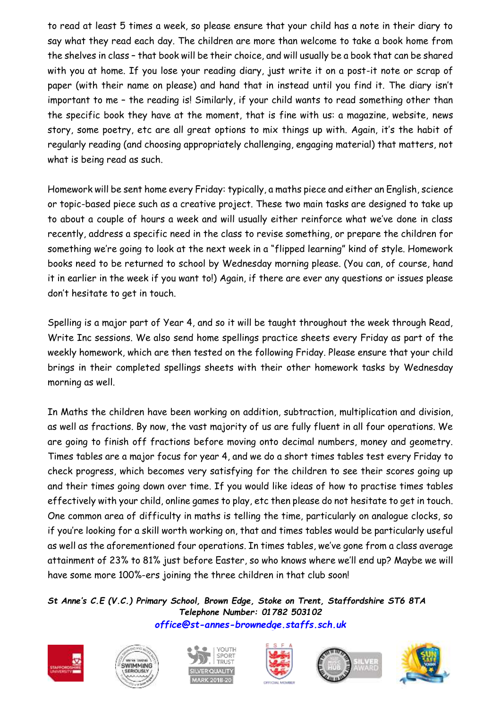to read at least 5 times a week, so please ensure that your child has a note in their diary to say what they read each day. The children are more than welcome to take a book home from the shelves in class – that book will be their choice, and will usually be a book that can be shared with you at home. If you lose your reading diary, just write it on a post-it note or scrap of paper (with their name on please) and hand that in instead until you find it. The diary isn't important to me - the reading is! Similarly, if your child wants to read something other than the specific book they have at the moment, that is fine with us: a magazine, website, news story, some poetry, etc are all great options to mix things up with. Again, it's the habit of regularly reading (and choosing appropriately challenging, engaging material) that matters, not what is being read as such.

Homework will be sent home every Friday: typically, a maths piece and either an English, science or topic-based piece such as a creative project. These two main tasks are designed to take up to about a couple of hours a week and will usually either reinforce what we've done in class recently, address a specific need in the class to revise something, or prepare the children for something we're going to look at the next week in a "flipped learning" kind of style. Homework books need to be returned to school by Wednesday morning please. (You can, of course, hand it in earlier in the week if you want to!) Again, if there are ever any questions or issues please don't hesitate to get in touch.

Spelling is a major part of Year 4, and so it will be taught throughout the week through Read, Write Inc sessions. We also send home spellings practice sheets every Friday as part of the weekly homework, which are then tested on the following Friday. Please ensure that your child brings in their completed spellings sheets with their other homework tasks by Wednesday morning as well.

In Maths the children have been working on addition, subtraction, multiplication and division, as well as fractions. By now, the vast majority of us are fully fluent in all four operations. We are going to finish off fractions before moving onto decimal numbers, money and geometry. Times tables are a major focus for year 4, and we do a short times tables test every Friday to check progress, which becomes very satisfying for the children to see their scores going up and their times going down over time. If you would like ideas of how to practise times tables effectively with your child, online games to play, etc then please do not hesitate to get in touch. One common area of difficulty in maths is telling the time, particularly on analogue clocks, so if you're looking for a skill worth working on, that and times tables would be particularly useful as well as the aforementioned four operations. In times tables, we've gone from a class average attainment of 23% to 81% just before Easter, so who knows where we'll end up? Maybe we will have some more 100%-ers joining the three children in that club soon!

*St Anne's C.E (V.C.) Primary School, Brown Edge, Stoke on Trent, Staffordshire ST6 8TA Telephone Number: 01782 503102 [office@st-annes-brownedge.staffs.sch.uk](mailto:office@st-annes-brownedge.staffs.sch.uk)*